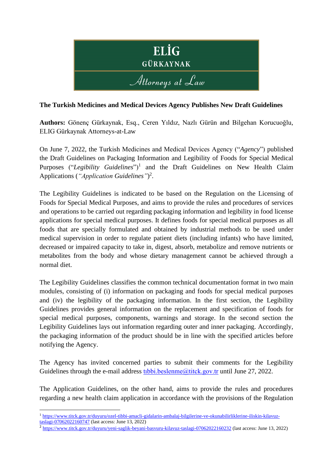

## **The Turkish Medicines and Medical Devices Agency Publishes New Draft Guidelines**

**Authors:** Gönenç Gürkaynak, Esq., Ceren Yıldız, Nazlı Gürün and Bilgehan Korucuoğlu, ELIG Gürkaynak Attorneys-at-Law

On June 7, 2022, the Turkish Medicines and Medical Devices Agency ("*Agency*") published the Draft Guidelines on Packaging Information and Legibility of Foods for Special Medical Purposes ("Legibility Guidelines")<sup>1</sup> and the Draft Guidelines on New Health Claim Applications (*"Application Guidelines"*) 2 .

The Legibility Guidelines is indicated to be based on the Regulation on the Licensing of Foods for Special Medical Purposes, and aims to provide the rules and procedures of services and operations to be carried out regarding packaging information and legibility in food license applications for special medical purposes. It defines foods for special medical purposes as all foods that are specially formulated and obtained by industrial methods to be used under medical supervision in order to regulate patient diets (including infants) who have limited, decreased or impaired capacity to take in, digest, absorb, metabolize and remove nutrients or metabolites from the body and whose dietary management cannot be achieved through a normal diet.

The Legibility Guidelines classifies the common technical documentation format in two main modules, consisting of (i) information on packaging and foods for special medical purposes and (iv) the legibility of the packaging information. In the first section, the Legibility Guidelines provides general information on the replacement and specification of foods for special medical purposes, components, warnings and storage. In the second section the Legibility Guidelines lays out information regarding outer and inner packaging. Accordingly, the packaging information of the product should be in line with the specified articles before notifying the Agency.

The Agency has invited concerned parties to submit their comments for the Legibility Guidelines through the e-mail address tibbi.beslenme@titck.gov.tr until June 27, 2022.

The Application Guidelines, on the other hand, aims to provide the rules and procedures regarding a new health claim application in accordance with the provisions of the Regulation

[taslagi-07062022160747](https://www.titck.gov.tr/duyuru/ozel-tibbi-amacli-gidalarin-ambalaj-bilgilerine-ve-okunabilirliklerine-iliskin-kilavuz-taslagi-07062022160747) (last access: June 13, 2022)

<sup>1</sup> [https://www.titck.gov.tr/duyuru/ozel-tibbi-amacli-gidalarin-ambalaj-bilgilerine-ve-okunabilirliklerine-iliskin-kilavuz-](https://www.titck.gov.tr/duyuru/ozel-tibbi-amacli-gidalarin-ambalaj-bilgilerine-ve-okunabilirliklerine-iliskin-kilavuz-taslagi-07062022160747)

 $^2$  <https://www.titck.gov.tr/duyuru/yeni-saglik-beyani-basvuru-kilavuz-taslagi-07062022160232> (last access: June 13, 2022)